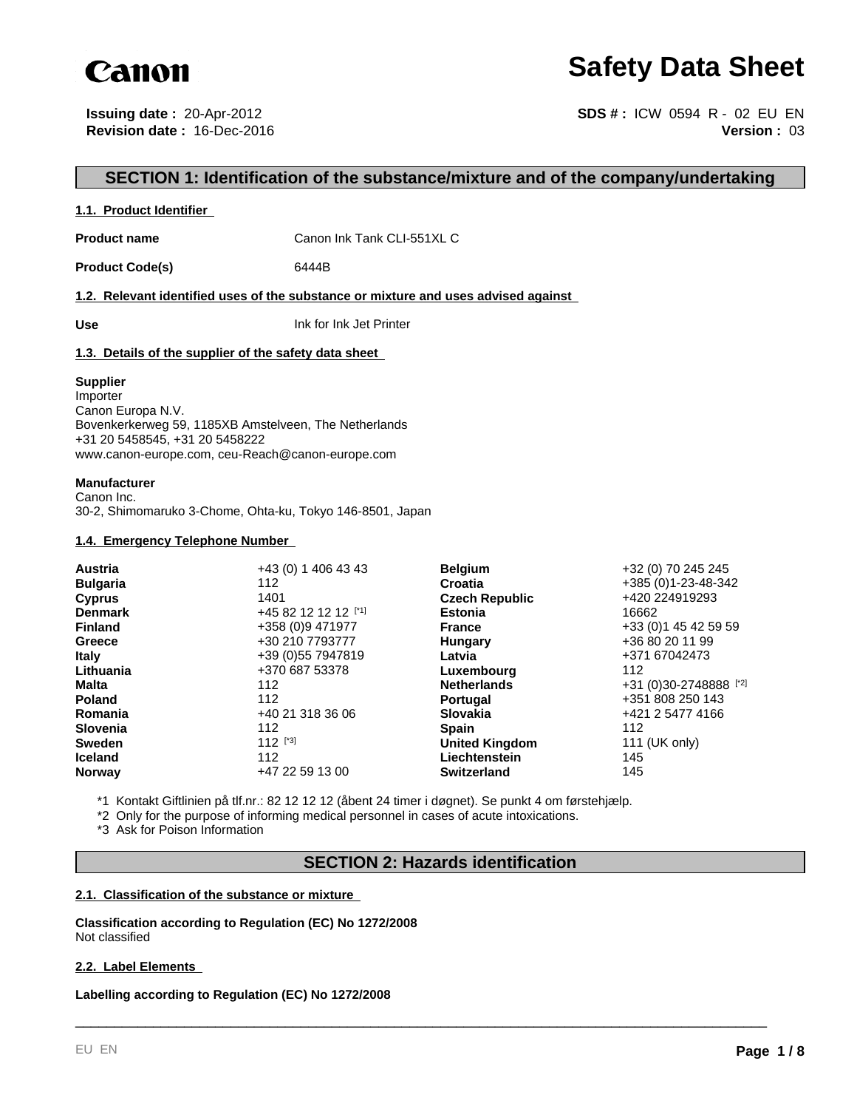

# **Safety Data Sheet**

**Issuing date :** 20-Apr-2012 **Revision date :** 16-Dec-2016

**Version :** 03 **SDS # :** ICW 0594 R - 02 EU EN

# **SECTION 1: Identification of the substance/mixture and of the company/undertaking**

# **1.1. Product Identifier**

**Product name** Canon Ink Tank CLI-551XL C

Product Code(s) 6444B

**1.2. Relevant identified uses of the substance or mixture and uses advised against** 

**Use** Ink for Ink Jet Printer

# **1.3. Details of the supplier of the safety data sheet**

#### **Supplier**

Importer Canon Europa N.V. Bovenkerkerweg 59, 1185XB Amstelveen, The Netherlands +31 20 5458545, +31 20 5458222 www.canon-europe.com, ceu-Reach@canon-europe.com

#### **Manufacturer**

Canon Inc. 30-2, Shimomaruko 3-Chome, Ohta-ku, Tokyo 146-8501, Japan

# **1.4. Emergency Telephone Number**

| <b>Austria</b>  | +43 (0) 1 406 43 43 | <b>Belgium</b>        | +32 (0) 70 245 245     |
|-----------------|---------------------|-----------------------|------------------------|
| <b>Bulgaria</b> | 112                 | Croatia               | +385 (0)1-23-48-342    |
| <b>Cyprus</b>   | 1401                | <b>Czech Republic</b> | +420 224919293         |
| <b>Denmark</b>  | +45 82 12 12 12 [1] | <b>Estonia</b>        | 16662                  |
| <b>Finland</b>  | +358 (0)9 471977    | <b>France</b>         | +33 (0) 1 45 42 59 59  |
| Greece          | +30 210 7793777     | Hungary               | +36 80 20 11 99        |
| <b>Italy</b>    | +39 (0) 55 7947819  | Latvia                | +371 67042473          |
| Lithuania       | +370 687 53378      | Luxembourg            | 112                    |
| Malta           | 112                 | <b>Netherlands</b>    | +31 (0)30-2748888 [*2] |
| <b>Poland</b>   | 112                 | <b>Portugal</b>       | +351 808 250 143       |
| Romania         | +40 21 318 36 06    | <b>Slovakia</b>       | +421 2 5477 4166       |
| <b>Slovenia</b> | 112                 | <b>Spain</b>          | 112                    |
| <b>Sweden</b>   | $112$ [*3]          | <b>United Kingdom</b> | 111 (UK only)          |
| <b>Iceland</b>  | 112                 | Liechtenstein         | 145                    |
| <b>Norway</b>   | +47 22 59 13 00     | <b>Switzerland</b>    | 145                    |

\*1 Kontakt Giftlinien på tlf.nr.: 82 12 12 12 (åbent 24 timer i døgnet). Se punkt 4 om førstehjælp.

\*2 Only for the purpose of informing medical personnel in cases of acute intoxications.

\*3 Ask for Poison Information

# **SECTION 2: Hazards identification**

\_\_\_\_\_\_\_\_\_\_\_\_\_\_\_\_\_\_\_\_\_\_\_\_\_\_\_\_\_\_\_\_\_\_\_\_\_\_\_\_\_\_\_\_\_\_\_\_\_\_\_\_\_\_\_\_\_\_\_\_\_\_\_\_\_\_\_\_\_\_\_\_\_\_\_\_\_\_\_\_\_\_\_\_\_\_\_\_\_

# **2.1. Classification of the substance or mixture**

**Classification according to Regulation (EC) No 1272/2008** Not classified

# **2.2. Label Elements**

**Labelling according to Regulation (EC) No 1272/2008**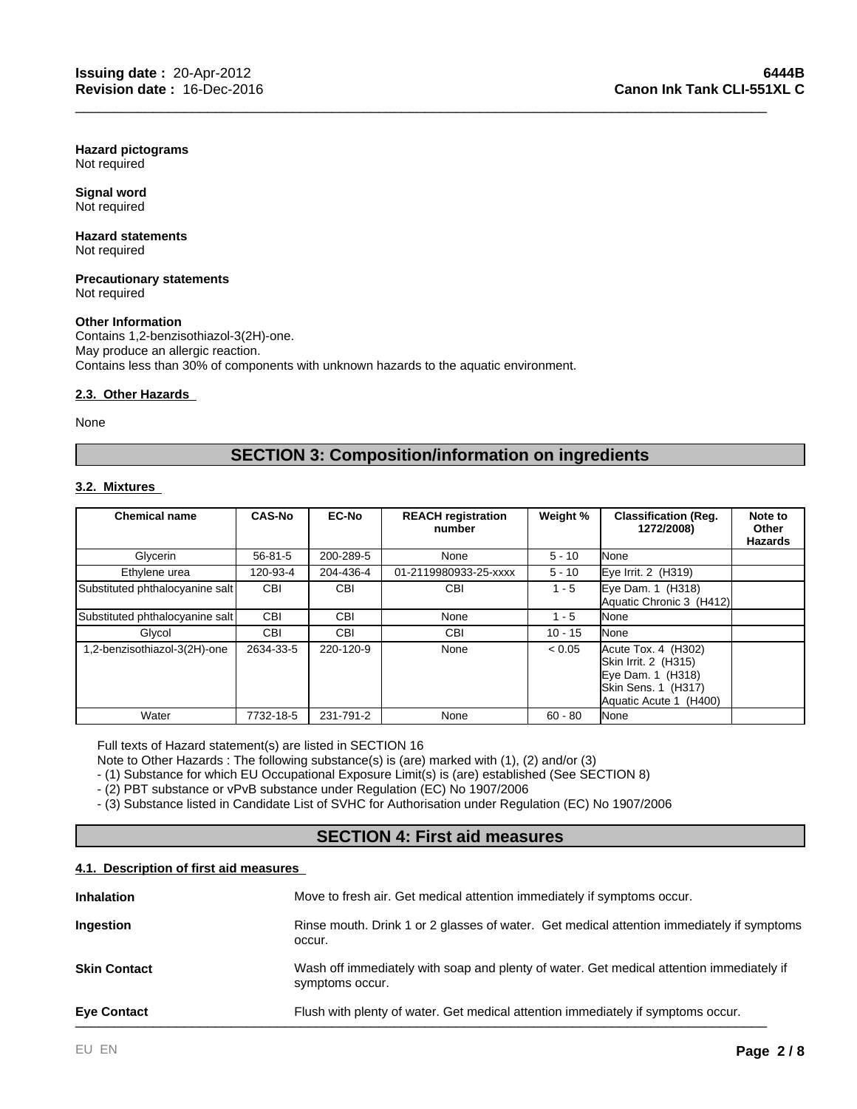**Hazard pictograms** Not required

**Signal word** Not required

#### **Hazard statements** Not required

#### **Precautionary statements** Not required

# **Other Information**

Contains 1,2-benzisothiazol-3(2H)-one. May produce an allergic reaction. Contains less than 30% of components with unknown hazards to the aquatic environment.

# **2.3. Other Hazards**

None

# **SECTION 3: Composition/information on ingredients**

\_\_\_\_\_\_\_\_\_\_\_\_\_\_\_\_\_\_\_\_\_\_\_\_\_\_\_\_\_\_\_\_\_\_\_\_\_\_\_\_\_\_\_\_\_\_\_\_\_\_\_\_\_\_\_\_\_\_\_\_\_\_\_\_\_\_\_\_\_\_\_\_\_\_\_\_\_\_\_\_\_\_\_\_\_\_\_\_\_

# **3.2. Mixtures**

| <b>Chemical name</b>            | <b>CAS-No</b> | <b>EC-No</b> | <b>REACH registration</b><br>number | Weight %  | <b>Classification (Reg.</b><br>1272/2008)                                                                         | Note to<br><b>Other</b><br><b>Hazards</b> |
|---------------------------------|---------------|--------------|-------------------------------------|-----------|-------------------------------------------------------------------------------------------------------------------|-------------------------------------------|
| Glycerin                        | $56 - 81 - 5$ | 200-289-5    | None                                | $5 - 10$  | None                                                                                                              |                                           |
| Ethylene urea                   | 120-93-4      | 204-436-4    | 01-2119980933-25-xxxx               | $5 - 10$  | Eye Irrit. 2 (H319)                                                                                               |                                           |
| Substituted phthalocyanine salt | <b>CBI</b>    | <b>CBI</b>   | <b>CBI</b>                          | 1 - 5     | Eye Dam. 1 (H318)<br>Aquatic Chronic 3 (H412)                                                                     |                                           |
| Substituted phthalocyanine salt | <b>CBI</b>    | <b>CBI</b>   | None                                | $1 - 5$   | None                                                                                                              |                                           |
| Glycol                          | CBI           | <b>CBI</b>   | <b>CBI</b>                          | $10 - 15$ | None                                                                                                              |                                           |
| 1,2-benzisothiazol-3(2H)-one    | 2634-33-5     | 220-120-9    | None                                | < 0.05    | Acute Tox. 4 (H302)<br>Skin Irrit. 2 (H315)<br>Eye Dam. 1 (H318)<br>Skin Sens. 1 (H317)<br>Aquatic Acute 1 (H400) |                                           |
| Water                           | 7732-18-5     | 231-791-2    | None                                | $60 - 80$ | <b>I</b> None                                                                                                     |                                           |

Full texts of Hazard statement(s) are listed in SECTION 16

Note to Other Hazards : The following substance(s) is (are) marked with (1), (2) and/or (3)

- (1) Substance for which EU Occupational Exposure Limit(s) is (are) established (See SECTION 8)

- (2) PBT substance or vPvB substance under Regulation (EC) No 1907/2006

- (3) Substance listed in Candidate List of SVHC for Authorisation under Regulation (EC) No 1907/2006

# **SECTION 4: First aid measures**

# **4.1. Description of first aid measures**

| <b>Eye Contact</b>  | Flush with plenty of water. Get medical attention immediately if symptoms occur.                            |
|---------------------|-------------------------------------------------------------------------------------------------------------|
| <b>Skin Contact</b> | Wash off immediately with soap and plenty of water. Get medical attention immediately if<br>symptoms occur. |
| Ingestion           | Rinse mouth. Drink 1 or 2 glasses of water. Get medical attention immediately if symptoms<br>occur.         |
| <b>Inhalation</b>   | Move to fresh air. Get medical attention immediately if symptoms occur.                                     |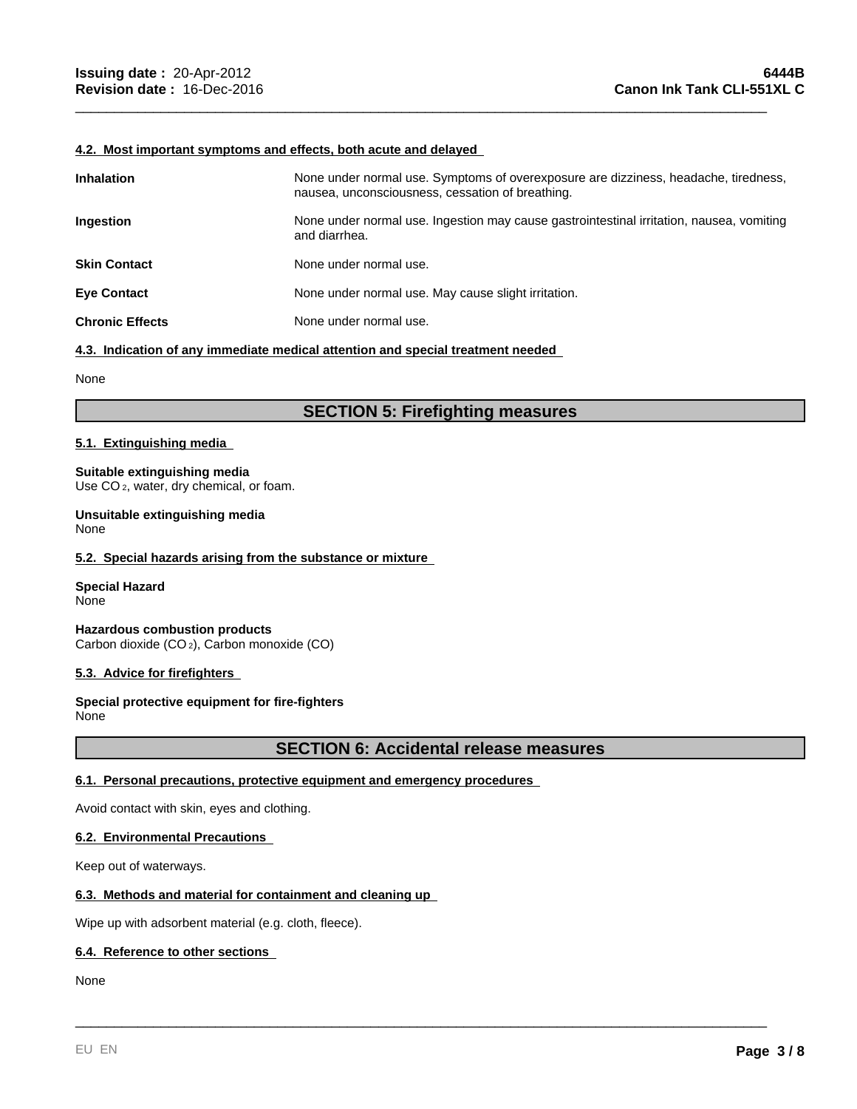#### **4.2. Most important symptoms and effects, both acute and delayed**

| <b>Inhalation</b>      | None under normal use. Symptoms of overexposure are dizziness, headache, tiredness,<br>nausea, unconsciousness, cessation of breathing. |
|------------------------|-----------------------------------------------------------------------------------------------------------------------------------------|
| <b>Ingestion</b>       | None under normal use. Ingestion may cause gastrointestinal irritation, nausea, vomiting<br>and diarrhea.                               |
| <b>Skin Contact</b>    | None under normal use.                                                                                                                  |
| <b>Eye Contact</b>     | None under normal use. May cause slight irritation.                                                                                     |
| <b>Chronic Effects</b> | None under normal use.                                                                                                                  |

\_\_\_\_\_\_\_\_\_\_\_\_\_\_\_\_\_\_\_\_\_\_\_\_\_\_\_\_\_\_\_\_\_\_\_\_\_\_\_\_\_\_\_\_\_\_\_\_\_\_\_\_\_\_\_\_\_\_\_\_\_\_\_\_\_\_\_\_\_\_\_\_\_\_\_\_\_\_\_\_\_\_\_\_\_\_\_\_\_

**4.3. Indication of any immediate medical attention and special treatment needed** 

None

# **SECTION 5: Firefighting measures**

# **5.1. Extinguishing media**

#### **Suitable extinguishing media** Use CO<sub>2</sub>, water, dry chemical, or foam.

**Unsuitable extinguishing media**

None

# **5.2. Special hazards arising from the substance or mixture**

**Special Hazard** None

**Hazardous combustion products** Carbon dioxide (CO 2), Carbon monoxide (CO)

# **5.3. Advice for firefighters**

**Special protective equipment for fire-fighters** None

# **SECTION 6: Accidental release measures**

\_\_\_\_\_\_\_\_\_\_\_\_\_\_\_\_\_\_\_\_\_\_\_\_\_\_\_\_\_\_\_\_\_\_\_\_\_\_\_\_\_\_\_\_\_\_\_\_\_\_\_\_\_\_\_\_\_\_\_\_\_\_\_\_\_\_\_\_\_\_\_\_\_\_\_\_\_\_\_\_\_\_\_\_\_\_\_\_\_

# **6.1. Personal precautions, protective equipment and emergency procedures**

Avoid contact with skin, eyes and clothing.

# **6.2. Environmental Precautions**

Keep out of waterways.

# **6.3. Methods and material for containment and cleaning up**

Wipe up with adsorbent material (e.g. cloth, fleece).

# **6.4. Reference to other sections**

None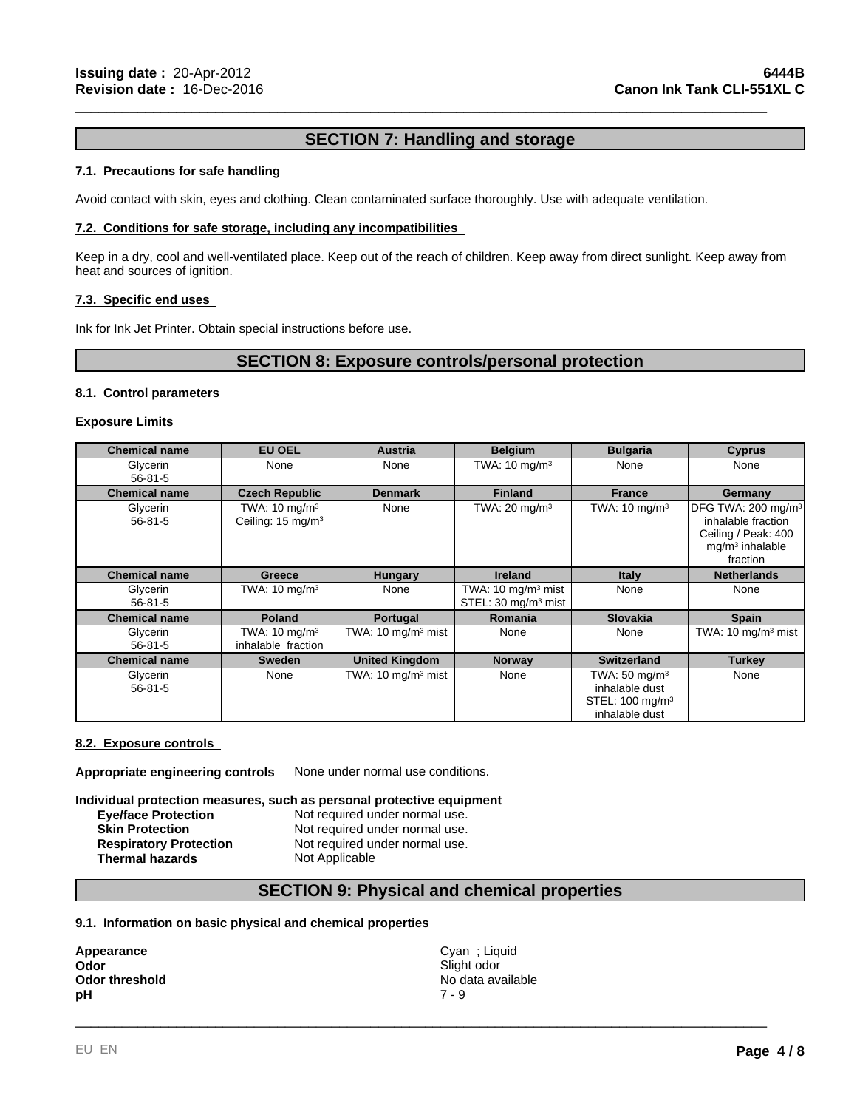# **SECTION 7: Handling and storage**

\_\_\_\_\_\_\_\_\_\_\_\_\_\_\_\_\_\_\_\_\_\_\_\_\_\_\_\_\_\_\_\_\_\_\_\_\_\_\_\_\_\_\_\_\_\_\_\_\_\_\_\_\_\_\_\_\_\_\_\_\_\_\_\_\_\_\_\_\_\_\_\_\_\_\_\_\_\_\_\_\_\_\_\_\_\_\_\_\_

# **7.1. Precautions for safe handling**

Avoid contact with skin, eyes and clothing. Clean contaminated surface thoroughly. Use with adequate ventilation.

### **7.2. Conditions for safe storage, including any incompatibilities**

Keep in a dry, cool and well-ventilated place. Keep out of the reach of children. Keep away from direct sunlight. Keep away from heat and sources of ignition.

### **7.3. Specific end uses**

Ink for Ink Jet Printer. Obtain special instructions before use.

# **SECTION 8: Exposure controls/personal protection**

### **8.1. Control parameters**

#### **Exposure Limits**

| <b>Chemical name</b>      | <b>EU OEL</b>                                             | <b>Austria</b>                | <b>Belgium</b>                                                   | <b>Bulgaria</b>                                                                             | <b>Cyprus</b>                                                                                                |
|---------------------------|-----------------------------------------------------------|-------------------------------|------------------------------------------------------------------|---------------------------------------------------------------------------------------------|--------------------------------------------------------------------------------------------------------------|
| Glycerin<br>$56 - 81 - 5$ | None                                                      | None                          | TWA: $10 \text{ mg/m}^3$                                         | None                                                                                        | None                                                                                                         |
| <b>Chemical name</b>      | <b>Czech Republic</b>                                     | <b>Denmark</b>                | <b>Finland</b>                                                   | <b>France</b>                                                                               | Germany                                                                                                      |
| Glycerin<br>$56 - 81 - 5$ | TWA: $10 \text{ mg/m}^3$<br>Ceiling: 15 mg/m <sup>3</sup> | None                          | TWA: $20 \text{ mg/m}^3$                                         | TWA: $10 \text{ mg/m}^3$                                                                    | DFG TWA: 200 mg/m <sup>3</sup><br>inhalable fraction<br>Ceiling / Peak: 400<br>$mq/m3$ inhalable<br>fraction |
| <b>Chemical name</b>      | Greece                                                    | <b>Hungary</b>                | <b>Ireland</b>                                                   | <b>Italy</b>                                                                                | <b>Netherlands</b>                                                                                           |
| Glycerin<br>$56 - 81 - 5$ | TWA: $10 \text{ mg/m}^3$                                  | None                          | TWA: $10 \text{ mg/m}^3$ mist<br>STEL: 30 mg/m <sup>3</sup> mist | None                                                                                        | None                                                                                                         |
| <b>Chemical name</b>      | <b>Poland</b>                                             | Portugal                      | <b>Romania</b>                                                   | <b>Slovakia</b>                                                                             | <b>Spain</b>                                                                                                 |
| Glycerin<br>$56 - 81 - 5$ | TWA: $10 \text{ mg/m}^3$<br>inhalable fraction            | TWA: 10 mg/m $3$ mist         | None                                                             | None                                                                                        | TWA: $10 \text{ mg/m}^3$ mist                                                                                |
| <b>Chemical name</b>      | <b>Sweden</b>                                             | <b>United Kingdom</b>         | <b>Norway</b>                                                    | <b>Switzerland</b>                                                                          | <b>Turkey</b>                                                                                                |
| Glycerin<br>$56 - 81 - 5$ | None                                                      | TWA: $10 \text{ mg/m}^3$ mist | None                                                             | TWA: $50 \text{ mg/m}^3$<br>inhalable dust<br>STEL: 100 mg/m <sup>3</sup><br>inhalable dust | None                                                                                                         |

### **8.2. Exposure controls**

**Appropriate engineering controls** None under normal use conditions.

#### **Individual protection measures, such as personal protective equipment**

| Not required under normal use. |
|--------------------------------|
| Not required under normal use. |
| Not required under normal use. |
| Not Applicable                 |
|                                |

# **SECTION 9: Physical and chemical properties**

# **9.1. Information on basic physical and chemical properties**

| Appearance     | Cyan : Liquid     |
|----------------|-------------------|
| Odor           | Slight odor       |
| Odor threshold | No data available |
| рH             | 7 - 9             |

\_\_\_\_\_\_\_\_\_\_\_\_\_\_\_\_\_\_\_\_\_\_\_\_\_\_\_\_\_\_\_\_\_\_\_\_\_\_\_\_\_\_\_\_\_\_\_\_\_\_\_\_\_\_\_\_\_\_\_\_\_\_\_\_\_\_\_\_\_\_\_\_\_\_\_\_\_\_\_\_\_\_\_\_\_\_\_\_\_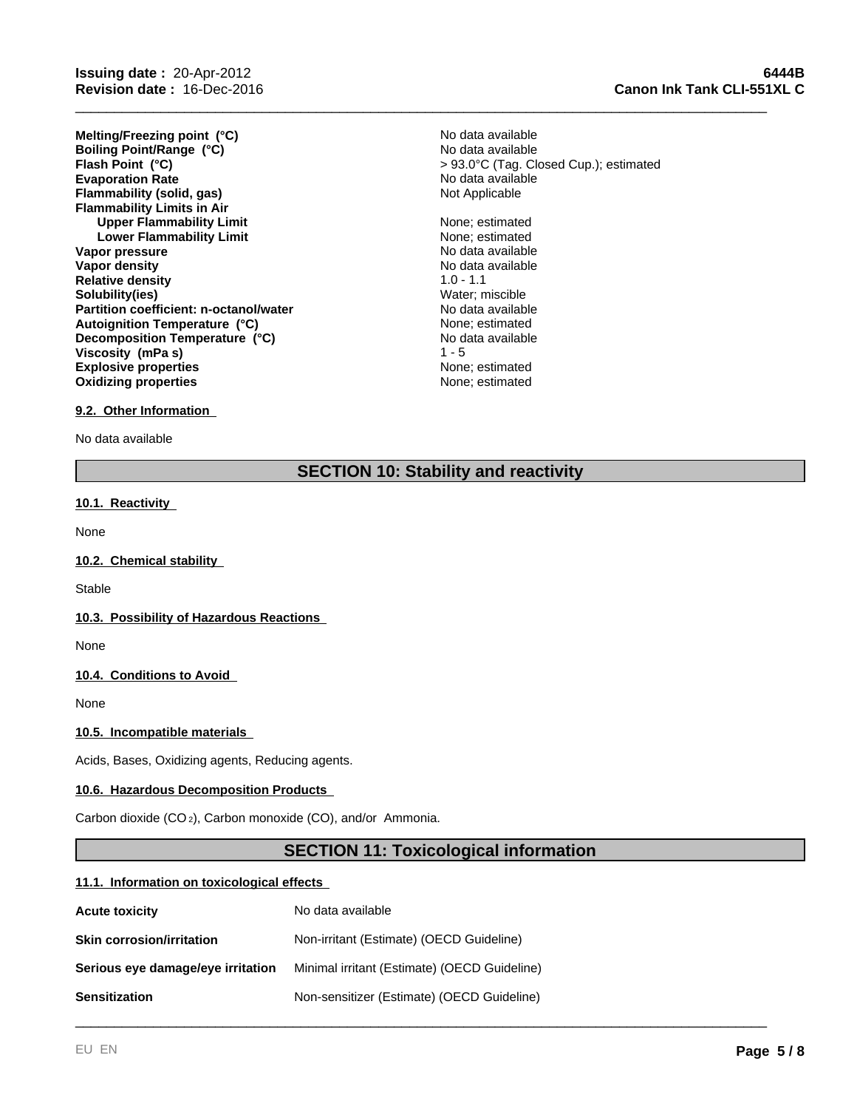**Evaporation Rate Example 2018** No data available<br> **Elammability (solid, gas)** Not Applicable **Notically Flammability (solid, gas) Flammability Limits in Air Upper Flammability Limit** None; estimated **Lower Flammability Limit** None; estimated **Vapor pressure** No data available No data available **Vapor density No data available No data available Relative density** 1.0 - 1.1 **Solubility(ies)** Water; miscible **Partition coefficient: n-octanol/water** No data available<br> **Autoignition Temperature (°C)** None: estimated **Explosive properties**<br> **Explosive properties**<br> **Oxidizing properties**<br> **None:** estimated **Oxidizing properties Melting/Freezing point (°C) Autoignition Temperature (°C) Decomposition Temperature (°C) Boiling Point/Range (°C) Viscosity (mPa s)**

No data available **Flash Point (°C)** > 93.0°C (Tag. Closed Cup.); estimated No data available

> No data available  $1 - 5$

\_\_\_\_\_\_\_\_\_\_\_\_\_\_\_\_\_\_\_\_\_\_\_\_\_\_\_\_\_\_\_\_\_\_\_\_\_\_\_\_\_\_\_\_\_\_\_\_\_\_\_\_\_\_\_\_\_\_\_\_\_\_\_\_\_\_\_\_\_\_\_\_\_\_\_\_\_\_\_\_\_\_\_\_\_\_\_\_\_

# **9.2. Other Information**

No data available

# **SECTION 10: Stability and reactivity**

#### **10.1. Reactivity**

None

#### **10.2. Chemical stability**

**Stable** 

# **10.3. Possibility of Hazardous Reactions**

None

# **10.4. Conditions to Avoid**

None

#### **10.5. Incompatible materials**

Acids, Bases, Oxidizing agents, Reducing agents.

#### **10.6. Hazardous Decomposition Products**

Carbon dioxide (CO 2), Carbon monoxide (CO), and/or Ammonia.

# **SECTION 11: Toxicological information**

\_\_\_\_\_\_\_\_\_\_\_\_\_\_\_\_\_\_\_\_\_\_\_\_\_\_\_\_\_\_\_\_\_\_\_\_\_\_\_\_\_\_\_\_\_\_\_\_\_\_\_\_\_\_\_\_\_\_\_\_\_\_\_\_\_\_\_\_\_\_\_\_\_\_\_\_\_\_\_\_\_\_\_\_\_\_\_\_\_

#### **11.1. Information on toxicological effects**

| <b>Acute toxicity</b>             | No data available                            |
|-----------------------------------|----------------------------------------------|
| <b>Skin corrosion/irritation</b>  | Non-irritant (Estimate) (OECD Guideline)     |
| Serious eye damage/eye irritation | Minimal irritant (Estimate) (OECD Guideline) |
| <b>Sensitization</b>              | Non-sensitizer (Estimate) (OECD Guideline)   |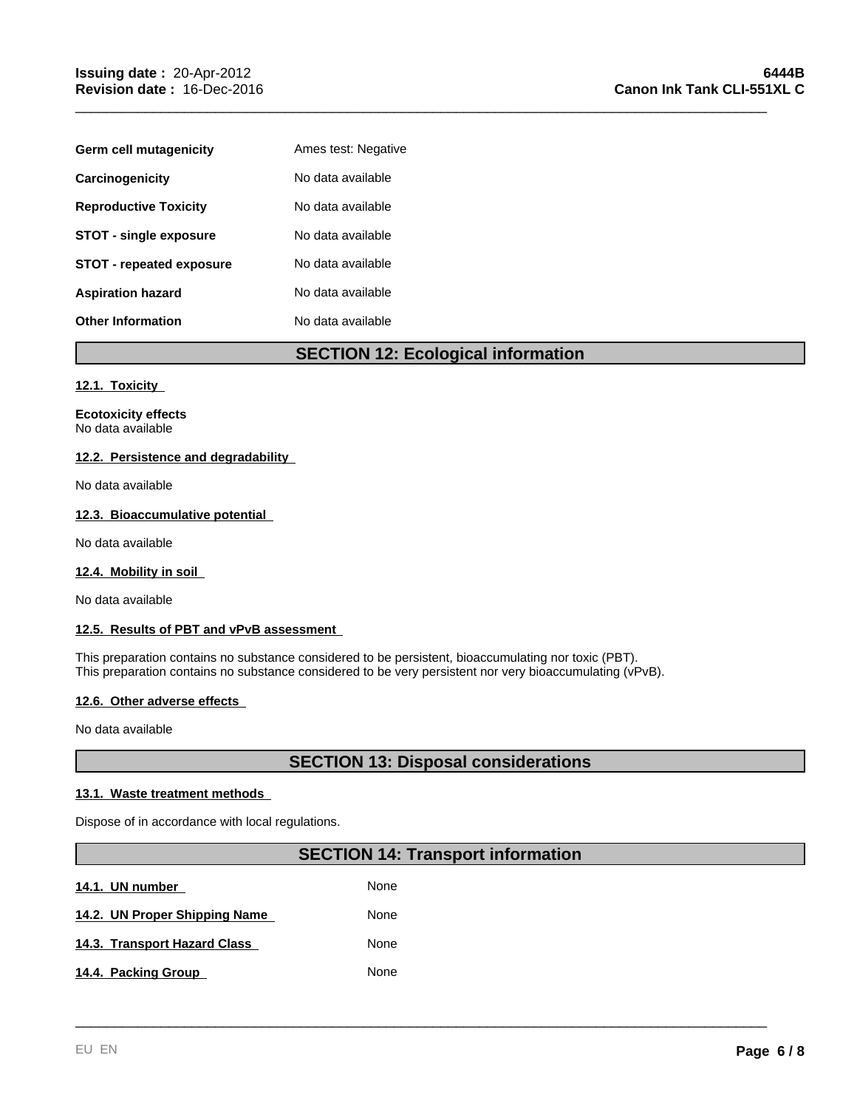| Germ cell mutagenicity          | Ames test: Negative |
|---------------------------------|---------------------|
| Carcinogenicity                 | No data available   |
| <b>Reproductive Toxicity</b>    | No data available   |
| <b>STOT - single exposure</b>   | No data available   |
| <b>STOT - repeated exposure</b> | No data available   |
| <b>Aspiration hazard</b>        | No data available   |
| <b>Other Information</b>        | No data available   |

# **SECTION 12: Ecological information**

\_\_\_\_\_\_\_\_\_\_\_\_\_\_\_\_\_\_\_\_\_\_\_\_\_\_\_\_\_\_\_\_\_\_\_\_\_\_\_\_\_\_\_\_\_\_\_\_\_\_\_\_\_\_\_\_\_\_\_\_\_\_\_\_\_\_\_\_\_\_\_\_\_\_\_\_\_\_\_\_\_\_\_\_\_\_\_\_\_

# **12.1. Toxicity**

**Ecotoxicity effects** No data available

# **12.2. Persistence and degradability**

No data available

# **12.3. Bioaccumulative potential**

No data available

# **12.4. Mobility in soil**

No data available

# **12.5. Results of PBT and vPvB assessment**

This preparation contains no substance considered to be persistent, bioaccumulating nor toxic (PBT). This preparation contains no substance considered to be very persistent nor very bioaccumulating (vPvB).

# **12.6. Other adverse effects**

No data available

# **SECTION 13: Disposal considerations**

# **13.1. Waste treatment methods**

Dispose of in accordance with local regulations.

# **SECTION 14: Transport information**

\_\_\_\_\_\_\_\_\_\_\_\_\_\_\_\_\_\_\_\_\_\_\_\_\_\_\_\_\_\_\_\_\_\_\_\_\_\_\_\_\_\_\_\_\_\_\_\_\_\_\_\_\_\_\_\_\_\_\_\_\_\_\_\_\_\_\_\_\_\_\_\_\_\_\_\_\_\_\_\_\_\_\_\_\_\_\_\_\_

None **14.3. Transport Hazard Class 14.1. UN number**  None None **14.4. Packing Group**  None **14.2. UN Proper Shipping Name**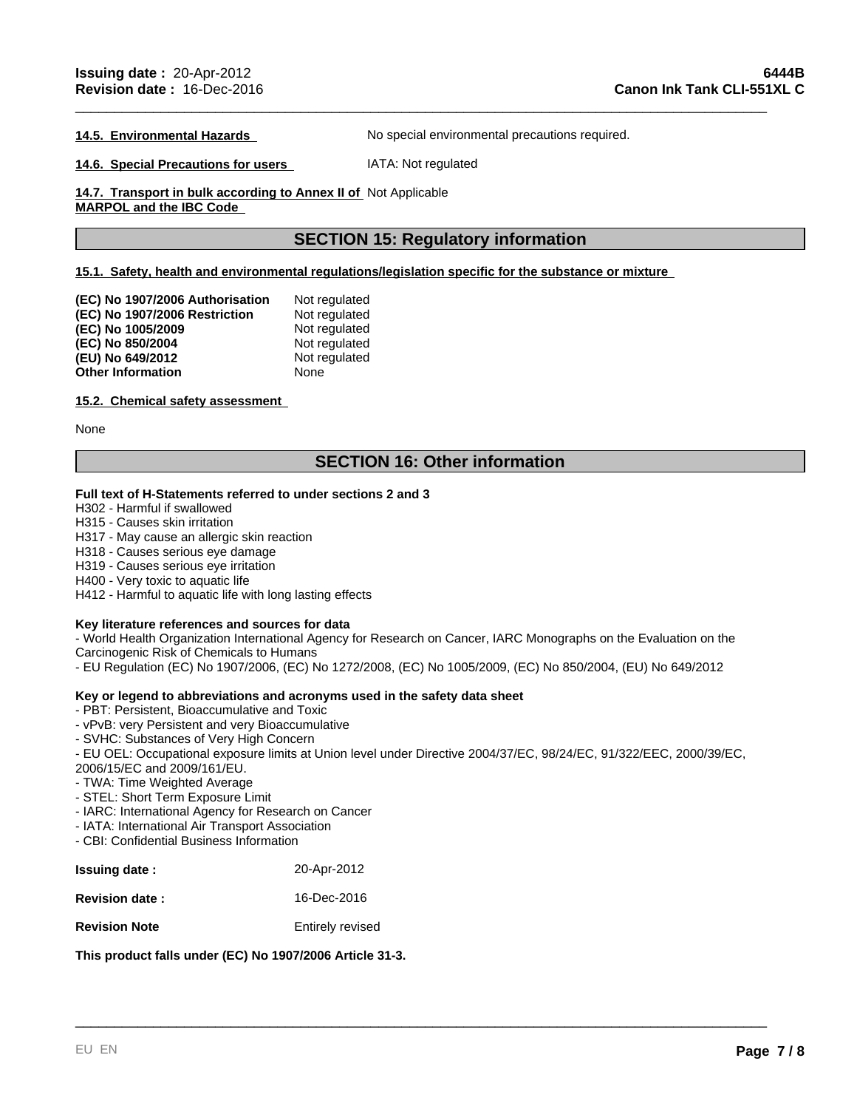#### **14.5. Environmental Hazards**

**14.6. Special Precautions for users** 

IATA: Not regulated

\_\_\_\_\_\_\_\_\_\_\_\_\_\_\_\_\_\_\_\_\_\_\_\_\_\_\_\_\_\_\_\_\_\_\_\_\_\_\_\_\_\_\_\_\_\_\_\_\_\_\_\_\_\_\_\_\_\_\_\_\_\_\_\_\_\_\_\_\_\_\_\_\_\_\_\_\_\_\_\_\_\_\_\_\_\_\_\_\_

No special environmental precautions required.

**14.7. Transport in bulk according to Annex II of**  Not Applicable

**MARPOL and the IBC Code** 

# **SECTION 15: Regulatory information**

# **15.1. Safety, health and environmental regulations/legislation specific for the substance or mixture**

| (EC) No 1907/2006 Authorisation | Not regulated |
|---------------------------------|---------------|
| (EC) No 1907/2006 Restriction   | Not regulated |
| (EC) No 1005/2009               | Not regulated |
| (EC) No 850/2004                | Not regulated |
| (EU) No 649/2012                | Not regulated |
| <b>Other Information</b>        | None          |

# **15.2. Chemical safety assessment**

None

# **SECTION 16: Other information**

# **Full text of H-Statements referred to under sections 2 and 3**

H302 - Harmful if swallowed

H315 - Causes skin irritation

H317 - May cause an allergic skin reaction

H318 - Causes serious eye damage

H319 - Causes serious eye irritation

H400 - Very toxic to aquatic life

H412 - Harmful to aquatic life with long lasting effects

# **Key literature references and sources for data**

- World Health Organization International Agency for Research on Cancer, IARC Monographs on the Evaluation on the Carcinogenic Risk of Chemicals to Humans

- EU Regulation (EC) No 1907/2006, (EC) No 1272/2008, (EC) No 1005/2009, (EC) No 850/2004, (EU) No 649/2012

# **Key or legend to abbreviations and acronyms used in the safety data sheet**

- PBT: Persistent, Bioaccumulative and Toxic

- vPvB: very Persistent and very Bioaccumulative
- SVHC: Substances of Very High Concern

- EU OEL: Occupational exposure limits at Union level under Directive 2004/37/EC, 98/24/EC, 91/322/EEC, 2000/39/EC, 2006/15/EC and 2009/161/EU.

\_\_\_\_\_\_\_\_\_\_\_\_\_\_\_\_\_\_\_\_\_\_\_\_\_\_\_\_\_\_\_\_\_\_\_\_\_\_\_\_\_\_\_\_\_\_\_\_\_\_\_\_\_\_\_\_\_\_\_\_\_\_\_\_\_\_\_\_\_\_\_\_\_\_\_\_\_\_\_\_\_\_\_\_\_\_\_\_\_

- TWA: Time Weighted Average

- STEL: Short Term Exposure Limit
- IARC: International Agency for Research on Cancer

- IATA: International Air Transport Association

- CBI: Confidential Business Information

| <b>Issuing date:</b>  | 20-Apr-2012      |
|-----------------------|------------------|
| <b>Revision date:</b> | 16-Dec-2016      |
| <b>Revision Note</b>  | Entirely revised |

**This product falls under (EC) No 1907/2006 Article 31-3.**